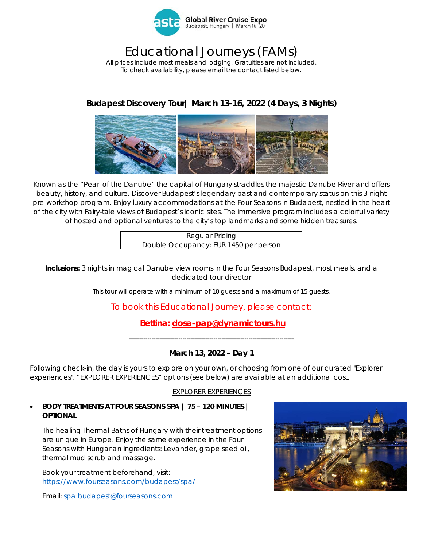

# Educational Journeys (FAMs)

*All prices include most meals and lodging. Gratuities are not included. To check availability, please email the contact listed below.* 

## **Budapest Discovery Tour| March 13-16, 2022 (4 Days, 3 Nights)**



Known as the "Pearl of the Danube" the capital of Hungary straddles the majestic Danube River and offers beauty, history, and culture. Discover Budapest's legendary past and contemporary status on this 3-night pre-workshop program. Enjoy luxury accommodations at the Four Seasons in Budapest, nestled in the heart of the city with Fairy-tale views of Budapest's iconic sites. The immersive program includes a colorful variety of hosted and optional ventures to the city's top landmarks and some hidden treasures.

> Regular Pricing Double Occupancy: EUR 1450 per person

**Inclusions:** 3 nights in magical Danube view rooms in the Four Seasons Budapest, most meals, and a dedicated tour director

*This tour will operate with a minimum of 10 guests and a maximum of 15 guests.* 

### To book this Educational Journey, please contact:

 **Bettina: dosa-pap@dynamictours.hu** 

*--------------------------------------------------------------------------------* 

#### **March 13, 2022 – Day 1**

Following check-in, the day is yours to explore on your own, or choosing from one of our curated "Explorer experiences". "EXPLORER EXPERIENCES" options (see below) are available at an additional cost.

#### EXPLORER EXPERIENCES

#### *BODY TREATMENTS AT FOUR SEASONS SPA | 75 – 120 MINUTES | OPTIONAL*

The healing Thermal Baths of Hungary with their treatment options are unique in Europe. Enjoy the same experience in the Four Seasons with Hungarian ingredients: Levander, grape seed oil, thermal mud scrub and massage.

Book your treatment beforehand, visit: https://www.fourseasons.com/budapest/spa/

Email: spa.budapest@fourseasons.com